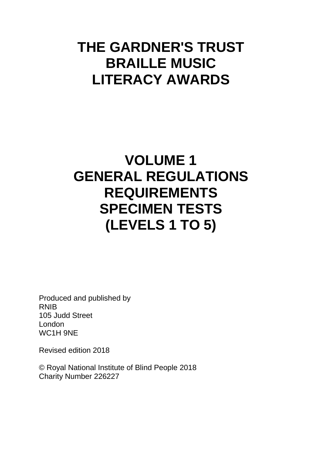# **THE GARDNER'S TRUST BRAILLE MUSIC LITERACY AWARDS**

# **VOLUME 1 GENERAL REGULATIONS REQUIREMENTS SPECIMEN TESTS (LEVELS 1 TO 5)**

Produced and published by RNIB 105 Judd Street London WC1H 9NE

Revised edition 2018

© Royal National Institute of Blind People 2018 Charity Number 226227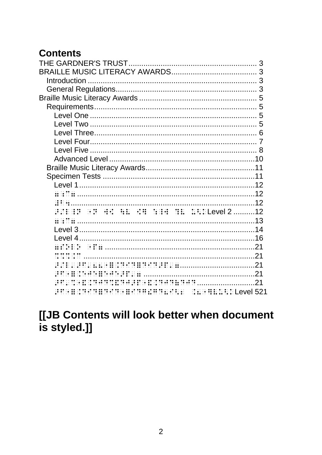# **Contents**

| <b>HINHIN HE HE HE HE HE HE HENLevel 212</b>                                                        |  |
|-----------------------------------------------------------------------------------------------------|--|
|                                                                                                     |  |
|                                                                                                     |  |
|                                                                                                     |  |
|                                                                                                     |  |
|                                                                                                     |  |
|                                                                                                     |  |
|                                                                                                     |  |
|                                                                                                     |  |
| <b>HERRICH BERGERS AND SERVICE CONTROLLER AND SERVED ASSESSED AT A 21 YO FAR A HILLER LEVEL 521</b> |  |
|                                                                                                     |  |

# [[JB Contents will look better when document is styled.]]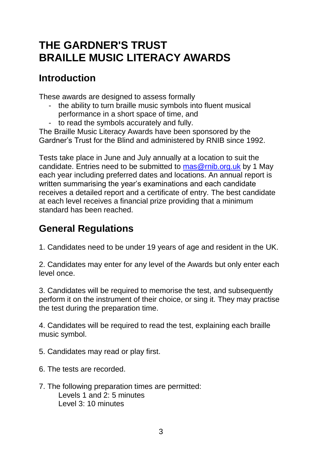# <span id="page-2-1"></span><span id="page-2-0"></span>**THE GARDNER'S TRUST BRAILLE MUSIC LITERACY AWARDS**

# <span id="page-2-2"></span>**Introduction**

These awards are designed to assess formally

- the ability to turn braille music symbols into fluent musical performance in a short space of time, and
- to read the symbols accurately and fully.

The Braille Music Literacy Awards have been sponsored by the Gardner's Trust for the Blind and administered by RNIB since 1992.

Tests take place in June and July annually at a location to suit the candidate. Entries need to be submitted to [mas@rnib.org.uk](mailto:mas@rnib.org.uk) by 1 May each year including preferred dates and locations. An annual report is written summarising the year's examinations and each candidate receives a detailed report and a certificate of entry. The best candidate at each level receives a financial prize providing that a minimum standard has been reached.

# <span id="page-2-3"></span>**General Regulations**

1. Candidates need to be under 19 years of age and resident in the UK.

2. Candidates may enter for any level of the Awards but only enter each level once.

3. Candidates will be required to memorise the test, and subsequently perform it on the instrument of their choice, or sing it. They may practise the test during the preparation time.

4. Candidates will be required to read the test, explaining each braille music symbol.

- 5. Candidates may read or play first.
- 6. The tests are recorded.
- 7. The following preparation times are permitted: Levels 1 and 2: 5 minutes Level 3: 10 minutes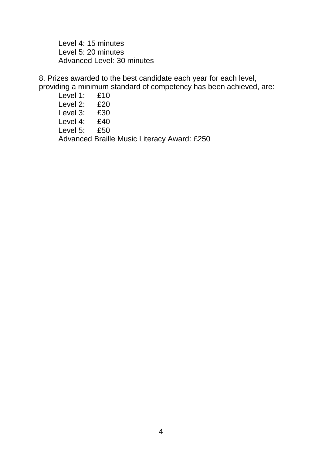Level 4: 15 minutes Level 5: 20 minutes Advanced Level: 30 minutes

8. Prizes awarded to the best candidate each year for each level, providing a minimum standard of competency has been achieved, are:

Level 1: £10 Level 2: £20 Level 3: £30 Level 4: £40 Level 5: £50 Advanced Braille Music Literacy Award: £250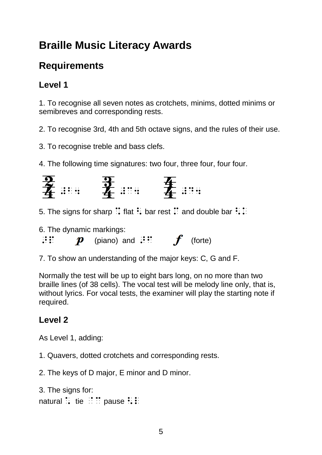# <span id="page-4-0"></span>**Braille Music Literacy Awards**

# <span id="page-4-1"></span>**Requirements**

## <span id="page-4-2"></span>**Level 1**

1. To recognise all seven notes as crotchets, minims, dotted minims or semibreves and corresponding rests.

2. To recognise 3rd, 4th and 5th octave signs, and the rules of their use.

3. To recognise treble and bass clefs.

4. The following time signatures: two four, three four, four four.



- 5. The signs for sharp  $\therefore$  flat  $\therefore$  bar rest  $\therefore$  and double bar  $\therefore$   $\therefore$
- 6. The dynamic markings:
- $\mathbf{p}$  (piano) and  $\mathbf{p}$  (forte)
- 7. To show an understanding of the major keys: C, G and F.

Normally the test will be up to eight bars long, on no more than two braille lines (of 38 cells). The vocal test will be melody line only, that is, without lyrics. For vocal tests, the examiner will play the starting note if required.

#### <span id="page-4-3"></span>**Level 2**

As Level 1, adding:

- 1. Quavers, dotted crotchets and corresponding rests.
- 2. The keys of D major, E minor and D minor.

```
3. The signs for: 
natural \ddot{\phantom{a}} tie \ddot{\phantom{a}} is pause \ddot{\phantom{a}} is
```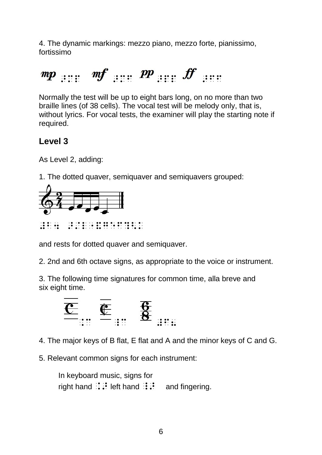4. The dynamic markings: mezzo piano, mezzo forte, pianissimo, fortissimo

 $p_{m,p}$  and  $\sum_{i=1}^{m} p_{n}$  and  $\sum_{i=1}^{m} p_{n}$  and  $\sum_{i=1}^{m} p_{n}$ 

Normally the test will be up to eight bars long, on no more than two braille lines (of 38 cells). The vocal test will be melody only, that is, without lyrics. For vocal tests, the examiner will play the starting note if required.

### <span id="page-5-0"></span>**Level 3**

As Level 2, adding:

1. The dotted quaver, semiquaver and semiquavers grouped:



#b4 >/l"&gef?<k

and rests for dotted quaver and semiquaver.

2. 2nd and 6th octave signs, as appropriate to the voice or instrument.

3. The following time signatures for common time, alla breve and six eight time.



4. The major keys of B flat, E flat and A and the minor keys of C and G.

5. Relevant common signs for each instrument:

In keyboard music, signs for right hand  $\therefore$  left hand  $\therefore$  and fingering.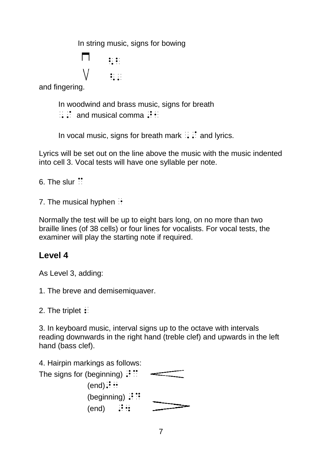In string music, signs for bowing

$$
\begin{matrix}\n\Box & \vdots \\
\Box & \vdots\n\end{matrix}
$$

and fingering.

In woodwind and brass music, signs for breath

 $\therefore$  and musical comma  $\therefore$ 

In vocal music, signs for breath mark  $\therefore$  and lyrics.

Lyrics will be set out on the line above the music with the music indented into cell 3. Vocal tests will have one syllable per note.

6. The slur  $\ddot{\cdot}$ 

7. The musical hyphen  $\cdot$ 

Normally the test will be up to eight bars long, on no more than two braille lines (of 38 cells) or four lines for vocalists. For vocal tests, the examiner will play the starting note if required.

### <span id="page-6-0"></span>**Level 4**

As Level 3, adding:

1. The breve and demisemiquaver.

2. The triplet  $\mathbf{\div}$ 

3. In keyboard music, interval signs up to the octave with intervals reading downwards in the right hand (treble clef) and upwards in the left hand (bass clef).

4. Hairpin markings as follows:

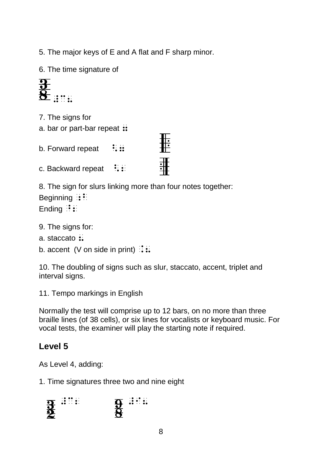5. The major keys of E and A flat and F sharp minor.

6. The time signature of



- 7. The signs for
- a. bar or part-bar repeat  $::$
- b. Forward repeat  $\therefore$ :
- c. Backward repeat  $\therefore$

8. The sign for slurs linking more than four notes together: Beginning  $\mathbf{B}$ :

非

韭

Ending  $\vdots$ :

- 9. The signs for:
- a. staccato  $\ddot{\mathbf{a}}$ .
- b. accent (V on side in print)  $\therefore$

10. The doubling of signs such as slur, staccato, accent, triplet and interval signs.

11. Tempo markings in English

Normally the test will comprise up to 12 bars, on no more than three braille lines (of 38 cells), or six lines for vocalists or keyboard music. For vocal tests, the examiner will play the starting note if required.

### <span id="page-7-0"></span>**Level 5**

As Level 4, adding:

1. Time signatures three two and nine eight

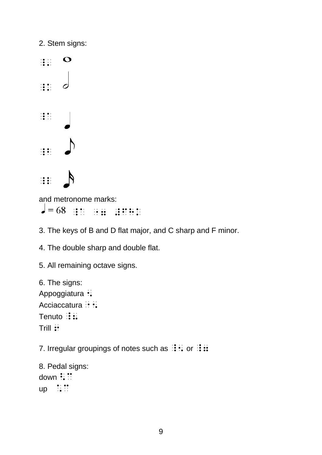2. Stem signs:  $\frac{1}{2}$   $\frac{1}{2}$   $\frac{1}{2}$  $\bullet$  $\frac{1}{2}$  $\sigma$  $\frac{1}{2}$   $\frac{1}{2}$   $\frac{1}{2}$  $\frac{1}{2}$   $\frac{1}{2}$   $\frac{1}{2}$  $\frac{1}{2}$ and metronome marks:

\_a "7 #fhk

3. The keys of B and D flat major, and C sharp and F minor.

4. The double sharp and double flat.

5. All remaining octave signs.

6. The signs: Appoggiatura : Acciaccatura :: Tenuto  $\mathbb{R}$ : Trill ::

7. Irregular groupings of notes such as  $\mathbf{B} : \mathbf{A}$  or  $\mathbf{B} : \mathbf{B}$ 

8. Pedal signs: down :::  $up$   $::$   $::$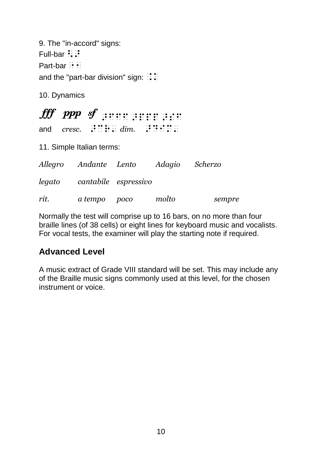9. The "in-accord" signs: Full-bar  $::$ Part-bar  $\cdot$   $\cdot$   $\cdot$ and the "part-bar division" sign:  $\therefore$ 

10. Dynamics

|     | fff ppp sf | $\bullet$ . $\bullet$ . $\bullet$ . $\bullet$ . $\bullet$ . $\bullet$ . $\bullet$ . $\bullet$ |  |  |  |  |  |
|-----|------------|-----------------------------------------------------------------------------------------------|--|--|--|--|--|
| and | cresc.     | $\mathbf{ii} \mathbf{ii}$ : $\mathbf{iii}$ dim.                                               |  |  |  |  |  |

11. Simple Italian terms:

|        | Allegro Andante Lento | Adagio Scherzo |        |
|--------|-----------------------|----------------|--------|
| legato | cantabile espressivo  |                |        |
| rit.   | a tempo poco          | molto          | sempre |

Normally the test will comprise up to 16 bars, on no more than four braille lines (of 38 cells) or eight lines for keyboard music and vocalists. For vocal tests, the examiner will play the starting note if required.

### <span id="page-9-0"></span>**Advanced Level**

A music extract of Grade VIII standard will be set. This may include any of the Braille music signs commonly used at this level, for the chosen instrument or voice.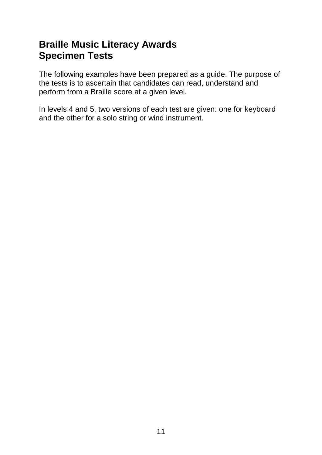# <span id="page-10-1"></span><span id="page-10-0"></span>**Braille Music Literacy Awards Specimen Tests**

The following examples have been prepared as a guide. The purpose of the tests is to ascertain that candidates can read, understand and perform from a Braille score at a given level.

In levels 4 and 5, two versions of each test are given: one for keyboard and the other for a solo string or wind instrument.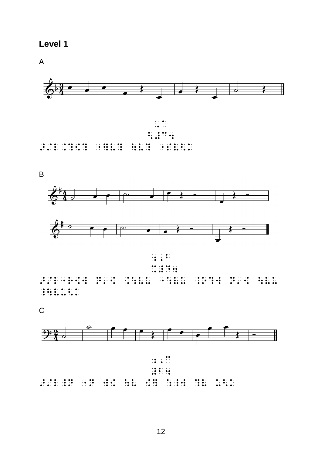<span id="page-11-0"></span>

 $\overline{A}$ 



B







 $\frac{1}{2}$ 

 $\overline{C}$ 

<span id="page-11-3"></span><span id="page-11-2"></span><span id="page-11-1"></span>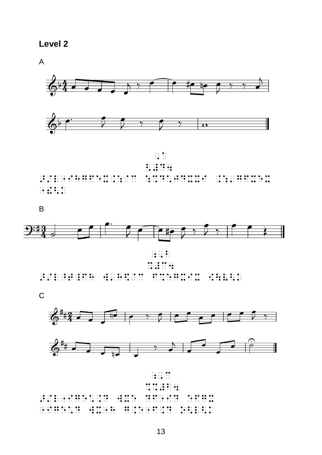

 $\overline{A}$ 









<span id="page-12-0"></span>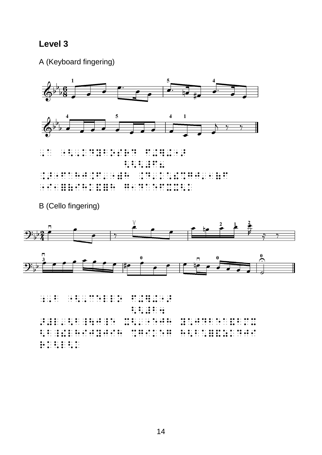#### <span id="page-13-0"></span>Level 3

A (Keyboard fingering)



**B** (Cello fingering)

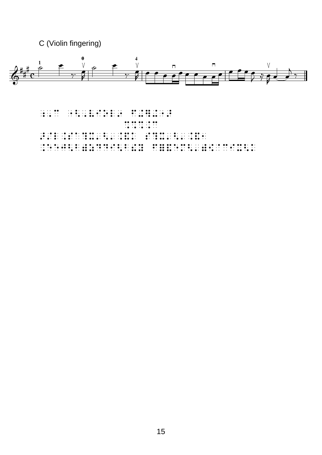C (Violin fingering)



 $\frac{1}{2}$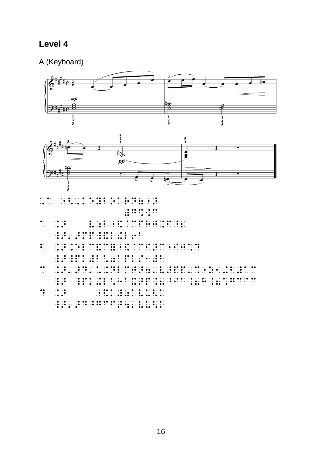## <span id="page-15-0"></span>Level 4

A (Keyboard)





| $\cdots$ .                                            | $\cdot$ |                                           |                                                                                                 |  |                                                                                                                                                                                                                                                                                                                                                                                                                                                                                         |  |  |  |  |           |                                                                                                                                                                                                                                                                                                 |  |  |  |  |  |  |                                                                                                                                                                                                                                                                                                                                                                                                                                                                                        |
|-------------------------------------------------------|---------|-------------------------------------------|-------------------------------------------------------------------------------------------------|--|-----------------------------------------------------------------------------------------------------------------------------------------------------------------------------------------------------------------------------------------------------------------------------------------------------------------------------------------------------------------------------------------------------------------------------------------------------------------------------------------|--|--|--|--|-----------|-------------------------------------------------------------------------------------------------------------------------------------------------------------------------------------------------------------------------------------------------------------------------------------------------|--|--|--|--|--|--|----------------------------------------------------------------------------------------------------------------------------------------------------------------------------------------------------------------------------------------------------------------------------------------------------------------------------------------------------------------------------------------------------------------------------------------------------------------------------------------|
|                                                       |         |                                           |                                                                                                 |  |                                                                                                                                                                                                                                                                                                                                                                                                                                                                                         |  |  |  |  | $\cdot$ . |                                                                                                                                                                                                                                                                                                 |  |  |  |  |  |  |                                                                                                                                                                                                                                                                                                                                                                                                                                                                                        |
| $\bullet$ .<br>$\cdot$ $\cdot$<br>$\cdot$ $\cdot$     |         | $\cdot \bullet \cdot \bullet$<br>$\cdots$ | $\cdot \bullet \bullet \cdot$                                                                   |  |                                                                                                                                                                                                                                                                                                                                                                                                                                                                                         |  |  |  |  |           | $\bullet \cdot \quad \cdot \quad \bullet \cdot \quad \cdot \quad \bullet \bullet \quad \cdot \bullet \quad \bullet \bullet \quad \bullet \bullet \quad \bullet \cdot \quad \cdot \bullet \quad \cdot \bullet \quad \bullet \bullet \quad \cdot \bullet \quad \cdot \bullet \quad \cdot \bullet$ |  |  |  |  |  |  |                                                                                                                                                                                                                                                                                                                                                                                                                                                                                        |
|                                                       |         |                                           |                                                                                                 |  |                                                                                                                                                                                                                                                                                                                                                                                                                                                                                         |  |  |  |  |           |                                                                                                                                                                                                                                                                                                 |  |  |  |  |  |  |                                                                                                                                                                                                                                                                                                                                                                                                                                                                                        |
| $\bullet$ .<br>$\bullet$ .<br>$\cdot$ $\cdot$         |         |                                           |                                                                                                 |  | . The contract of the contract of the contract of the contract of the contract of the contract of the contract of the contract of the contract of the contract of the contract of the contract of the contract of the contrac                                                                                                                                                                                                                                                           |  |  |  |  |           |                                                                                                                                                                                                                                                                                                 |  |  |  |  |  |  |                                                                                                                                                                                                                                                                                                                                                                                                                                                                                        |
|                                                       |         |                                           |                                                                                                 |  | $\mathbf{1} \cdot \mathbf{0}$ , the set of the set of the set of the set of the set of the set of the set of the set of the set of the set of the set of the set of the set of the set of the set of the set of the set of the set of the<br>$\mathbf{1} \cdot \mathbf{0}$ , and a set of the set of the set of the set of the set of the set of the set of the set of the set of the set of the set of the set of the set of the set of the set of the set of the set of the set of th |  |  |  |  |           |                                                                                                                                                                                                                                                                                                 |  |  |  |  |  |  |                                                                                                                                                                                                                                                                                                                                                                                                                                                                                        |
| $\bullet\bullet$<br>$\cdot$ $\cdot$<br>$\cdot$ .      |         |                                           |                                                                                                 |  | . The second comparison is the second of the second comparison of the second comparison of $\mathbf{e}_1$<br>$\alpha$ , and a second comparison is a second contract of the comparison of the second second second second second                                                                                                                                                                                                                                                        |  |  |  |  |           |                                                                                                                                                                                                                                                                                                 |  |  |  |  |  |  |                                                                                                                                                                                                                                                                                                                                                                                                                                                                                        |
|                                                       |         |                                           | $\cdot \bullet \cdot \bullet$<br>$\cdot \bullet \cdot \bullet$<br>$\cdot \bullet \bullet \cdot$ |  | . A distribution of the state of the state of the state of the state of the state of the state of the state of                                                                                                                                                                                                                                                                                                                                                                          |  |  |  |  |           |                                                                                                                                                                                                                                                                                                 |  |  |  |  |  |  | $\mathbf{1} \oplus \mathbf{0}$ , and the second second second second second second second second second second second second second second second second second second second second second second second second second second second seco<br>$\mathbf{1} \cdot \mathbf{0}$ , and a set $\mathbf{0} \cdot \mathbf{1}$ , and a set $\mathbf{0} \cdot \mathbf{0}$ , and the set of $\mathbf{0} \cdot \mathbf{0}$ , and $\mathbf{0} \cdot \mathbf{1}$ , and $\mathbf{0} \cdot \mathbf{1}$ |
| $\bullet\bullet$<br>$\cdot\bullet$<br>$\cdot$ $\cdot$ |         |                                           | $\cdot \bullet \cdot \bullet$<br>$\cdots$<br>$\cdot \bullet \bullet \cdot$                      |  |                                                                                                                                                                                                                                                                                                                                                                                                                                                                                         |  |  |  |  |           | . . <b>. . .</b> . <b>.</b> . <b>.</b> . <b>.</b> . <b>.</b> .<br>. <b>. . . . .</b>                                                                                                                                                                                                            |  |  |  |  |  |  |                                                                                                                                                                                                                                                                                                                                                                                                                                                                                        |
|                                                       |         |                                           |                                                                                                 |  |                                                                                                                                                                                                                                                                                                                                                                                                                                                                                         |  |  |  |  |           |                                                                                                                                                                                                                                                                                                 |  |  |  |  |  |  |                                                                                                                                                                                                                                                                                                                                                                                                                                                                                        |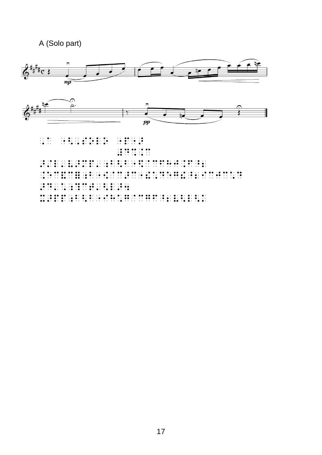### A (Solo part)

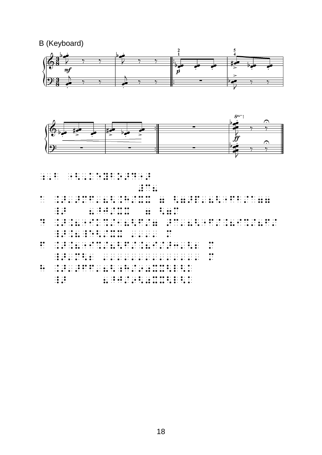B (Keyboard)





- $\frac{1}{2}$ ; decaybox  $\frac{1}{2}$ ; decaybox  $\frac{1}{2}$ ; decaybox  $\frac{1}{2}$ ; decaybox  $\frac{1}{2}$ ; decaybox  $\frac{1}{2}$ ; decaybox  $\frac{1}{2}$ ; decaybox  $\frac{1}{2}$ ; decaybox  $\frac{1}{2}$ ; decaybox  $\frac{1}{2}$ ; decaybox  $\frac{1}{2}$ ; decaybox *m* : a .>'>mf'8<.h/xx 7 <7>p'8<"fb/a77 \_> 8^j/xx 7 <7m d .>.8"ik%/18<f/7 >c'8<"f/.8i%/8f/  $\frac{1}{2}$ .8 external construction of the construction of the construction of the construction of the construction of the construction of the construction of the construction of the construction of the construction of the f .<br>8 September – Paris Leo Barriotte, amerikansk politiker (f. 1888)<br>2011 – Johann Leo Barriotte, amerikansk politiker (f. 1888)<br>3 September – Amerikaanse politiker (f. 1888) \_>'m<2 '''''''''''''' m h .>'>ff'8<;h/90xx<l<k
	- $\begin{array}{lllllllllllllllllll} \hline &\mbox{~~16.8\,m\,s} &\mbox{~~18.8\,m\,s} &\mbox{~~19.8\,m\,s} &\mbox{~~19.8\,m\,s} &\mbox{~~19.8\,m\,s} &\mbox{~~19.8\,m\,s} &\mbox{~~19.8\,m\,s} &\mbox{~~19.8\,m\,s} &\mbox{~~19.8\,m\,s} &\mbox{~~19.8\,m\,s} &\mbox{~~19.8\,m\,s} &\mbox{~~19.8\,m\$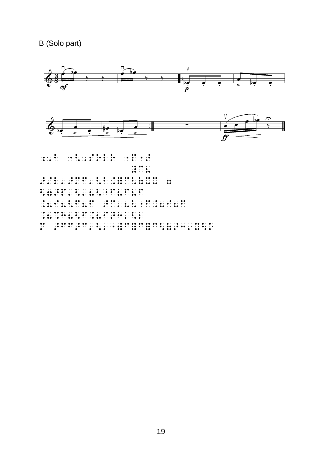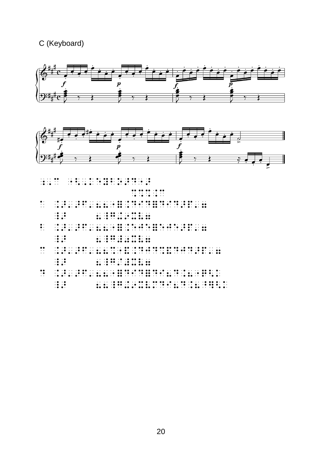#### C (Keyboard)





 $\begin{array}{l} \begin{array}{l} \hline \end{array}$ ;,c  $\begin{array}{l} \hline \end{array}$ ;,c  $\begin{array}{l} \hline \end{array}$ ;,c  $\begin{array}{l} \hline \end{array}$ ;,c  $\begin{array}{l} \hline \end{array}$ ;,c  $\begin{array}{l} \hline \end{array}$ ;,c  $\begin{array}{l} \hline \end{array}$ ;,c  $\begin{array}{l} \hline \end{array}$ ;,c  $\begin{array}{l} \hline \end{array}$ ;,c  $\begin{array}{l} \hline \end{array}$ ;,c  $\begin{$ 

%%%.c

- a .>'>f'88"=.did=did>p'7  $\frac{1}{2}$  8  $\frac{1}{2}$  8  $\frac{1}{2}$  8  $\frac{1}{2}$  8  $\frac{1}{2}$  8  $\frac{1}{2}$  8  $\frac{1}{2}$  8  $\frac{1}{2}$  8  $\frac{1}{2}$  8  $\frac{1}{2}$  8  $\frac{1}{2}$  8  $\frac{1}{2}$  8  $\frac{1}{2}$  8  $\frac{1}{2}$  8  $\frac{1}{2}$  8  $\frac{1}{2}$  8  $\frac{1}{2}$  8  $\frac{1}{2}$  8  $\frac{1$
- $\frac{1}{2}$ \_> 8\_g#0xv7
- c .>'>f'88%"&.djd%&djd>p'7 \_> 8\_g/#xv7
- d .>'>f'88"=did=di8d.8"q<k \_> 88\_g+9xvmdi8d.8^]<k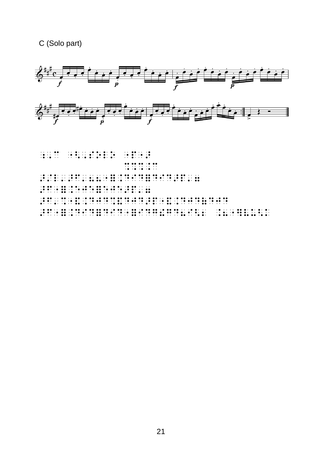#### C (Solo part)

<span id="page-20-5"></span><span id="page-20-4"></span><span id="page-20-3"></span><span id="page-20-2"></span><span id="page-20-1"></span><span id="page-20-0"></span>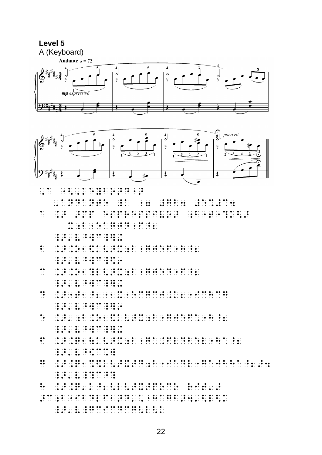



| $\mathbb{R}$                                                                                                                                                                                                                         |  |  |  |  |  |  |  |  |  |  |  |  |  |  |  |  |
|--------------------------------------------------------------------------------------------------------------------------------------------------------------------------------------------------------------------------------------|--|--|--|--|--|--|--|--|--|--|--|--|--|--|--|--|
|                                                                                                                                                                                                                                      |  |  |  |  |  |  |  |  |  |  |  |  |  |  |  |  |
|                                                                                                                                                                                                                                      |  |  |  |  |  |  |  |  |  |  |  |  |  |  |  |  |
| $\ddot{\bullet}$ :                                                                                                                                                                                                                   |  |  |  |  |  |  |  |  |  |  |  |  |  |  |  |  |
|                                                                                                                                                                                                                                      |  |  |  |  |  |  |  |  |  |  |  |  |  |  |  |  |
| $\ddot{\cdot}$                                                                                                                                                                                                                       |  |  |  |  |  |  |  |  |  |  |  |  |  |  |  |  |
|                                                                                                                                                                                                                                      |  |  |  |  |  |  |  |  |  |  |  |  |  |  |  |  |
| $\ddot{\cdot}$                                                                                                                                                                                                                       |  |  |  |  |  |  |  |  |  |  |  |  |  |  |  |  |
|                                                                                                                                                                                                                                      |  |  |  |  |  |  |  |  |  |  |  |  |  |  |  |  |
|                                                                                                                                                                                                                                      |  |  |  |  |  |  |  |  |  |  |  |  |  |  |  |  |
| $\dddot{\cdot}$                                                                                                                                                                                                                      |  |  |  |  |  |  |  |  |  |  |  |  |  |  |  |  |
|                                                                                                                                                                                                                                      |  |  |  |  |  |  |  |  |  |  |  |  |  |  |  |  |
| $\ddot{\cdot}$                                                                                                                                                                                                                       |  |  |  |  |  |  |  |  |  |  |  |  |  |  |  |  |
|                                                                                                                                                                                                                                      |  |  |  |  |  |  |  |  |  |  |  |  |  |  |  |  |
| $\ddot{\cdot}$                                                                                                                                                                                                                       |  |  |  |  |  |  |  |  |  |  |  |  |  |  |  |  |
|                                                                                                                                                                                                                                      |  |  |  |  |  |  |  |  |  |  |  |  |  |  |  |  |
| $\bullet\bullet$                                                                                                                                                                                                                     |  |  |  |  |  |  |  |  |  |  |  |  |  |  |  |  |
| in de de la companya de de la de la companya de la companya de la cada de la companya de la companya de la com<br>1940 : la companya de la companya de la companya de la companya de la companya de la companya de la companya<br>19 |  |  |  |  |  |  |  |  |  |  |  |  |  |  |  |  |
|                                                                                                                                                                                                                                      |  |  |  |  |  |  |  |  |  |  |  |  |  |  |  |  |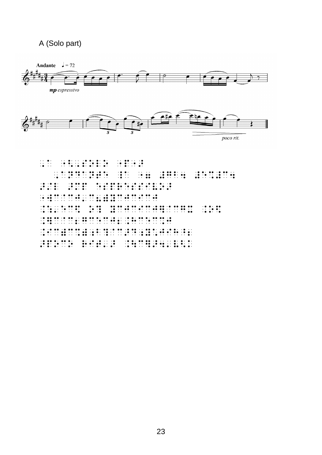#### A (Solo part)

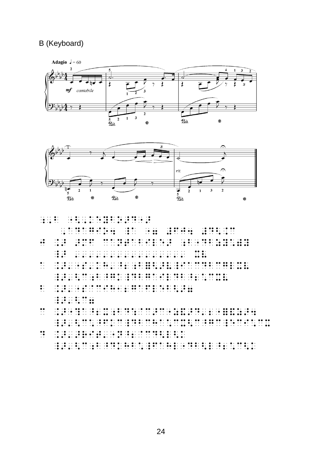#### B (Keyboard)





- 
- $\frac{1}{2}$  $\frac{1}{2}$  $\frac{1}{2}$   $\frac{1}{2}$   $\frac{1}{2}$   $\frac{1}{2}$   $\frac{1}{2}$   $\frac{1}{2}$   $\frac{1}{2}$  $\ddot{.}$  $\begin{array}{c} \begin{array}{c} \bullet \\ \bullet \\ \bullet \end{array} \\ \begin{array}{c} \bullet \\ \bullet \\ \bullet \end{array} \end{array}$  $\ddot{\bullet}$  $\frac{1}{2}$   $\frac{1}{2}$   $\frac{1}{2}$   $\frac{1}{2}$   $\frac{1}{2}$   $\frac{1}{2}$  $\begin{array}{cccccccc}\n11 & 11 & 11 & 11 & 11 & 11 & 11 & 11 \\
12 & 12 & 12 & 12 & 11 & 11 & 11 & 11 \\
13 & 13 & 13 & 13 & 13 & 11 & 11\n\end{array}$  $\ddot{\cdot}$  $\ddot{\cdot}$  $\ddot{\bullet}$  $\frac{1}{2}$ ∷  $\ddot{\bullet}$ : popo  $\frac{1}{2}$   $\frac{1}{2}$  $\mathbb{C}^{\times}$  $\ddot{\phantom{0}}$  :  $\therefore$  $\frac{1}{2}$  .  $\frac{1}{2}$  $\frac{1}{2}$  $\ddot{\cdot}$ Ð  $\mathbb{R}^2$ ÷  $\ddot{\cdot}$ <u> Holland e Borthard e Borthard e Borthard e Borthard e Borthard e Borthard e Borthard e Borthard e Borthard e Borthard e Borthard e Borthard e Borthard e Borthard e Borthard e Borthard e Borthard e Borthard e Borthard e B</u>  $\ddot{\bullet}$  :
- $\ddot{}}$
- $\ddot{\cdot}$ The contract of the contract of the contract of the contract of the contract of the contract of the contract of<br>The contract of the contract of the contract of the contract of the contract of the contract of the contract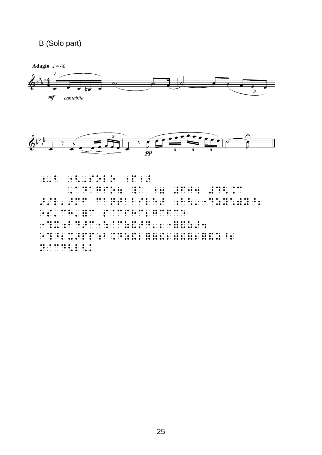#### B (Solo part)





```
\frac{1}{2}
```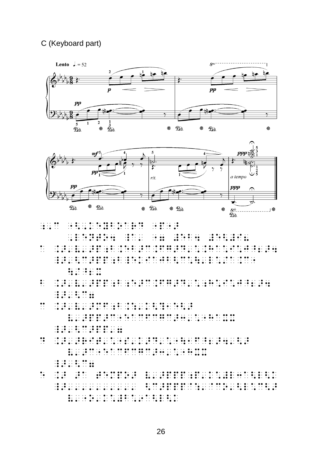#### C (Keyboard part)





|         |                                                                                                           | in the state of the state of the state of the state of the state of the state of the state of the state of the                                                                                                |  |  |  |  |                  |          |
|---------|-----------------------------------------------------------------------------------------------------------|---------------------------------------------------------------------------------------------------------------------------------------------------------------------------------------------------------------|--|--|--|--|------------------|----------|
|         | $\cdots \qquad \qquad \bullet \qquad \bullet \qquad \bullet \qquad \bullet \qquad \bullet \qquad \bullet$ | . The contract is the contract of the contract $\mathbf{r}$ and $\mathbf{r}$ and $\mathbf{r}$                                                                                                                 |  |  |  |  |                  | $\cdots$ |
| $\cdot$ |                                                                                                           | $\cdots \rightarrow \bullet \rightarrow \bullet \quad \bullet \quad \cdots \quad \bullet \bullet \quad \cdots \quad \bullet \quad \cdots \quad \bullet \quad \cdots \quad \bullet \quad \cdots \quad \bullet$ |  |  |  |  | . . <b>. .</b> . |          |
|         |                                                                                                           |                                                                                                                                                                                                               |  |  |  |  |                  |          |

 $\frac{1}{2}$  $\frac{1}{2}$   $\frac{1}{2}$   $\frac{1}{2}$   $\frac{1}{2}$   $\frac{1}{2}$   $\frac{1}{2}$  $\frac{1}{2}$  ,  $\frac{1}{2}$  ,  $\frac{1}{2}$  ,  $\frac{1}{2}$  ,  $\frac{1}{2}$  $\ddot{\cdot}$ 

- $\ddot{\cdot}$  $\frac{1}{2}$  ,  $\frac{1}{2}$  ,  $\frac{1}{2}$  ,  $\frac{1}{2}$  ,  $\frac{1}{2}$  ,  $\frac{1}{2}$  $\frac{1}{2}$  ,  $\frac{1}{2}$  ,  $\frac{1}{2}$  ,  $\frac{1}{2}$  $\ddot{\cdot}$ 98. PO 76 B. ः  $\ddot{\cdot}$ ़ 3 Ξi  $\ddot{\bullet}$  $\ddot{\cdot}$  $\ddot{\cdot}$  $\frac{1}{2}$  $\frac{1}{2}$  $\mathbf{H}$  $\frac{1}{2}$
- $\ddot{\bullet}$  :
- $\ddot{\cdot}$
- $\ddot{\cdot}$
- $\frac{1}{2}$   $\frac{1}{2}$   $\frac{1}{2}$   $\frac{1}{2}$   $\frac{1}{2}$   $\frac{1}{2}$   $\frac{1}{2}$   $\frac{1}{2}$  $\ddot{\cdot}$